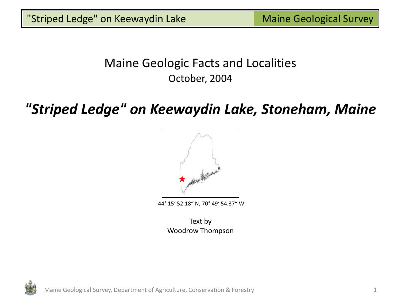## Maine Geologic Facts and Localities October, 2004

# *"Striped Ledge" on Keewaydin Lake, Stoneham, Maine*



44° 15' 52.18" N, 70° 49' 54.37" W

Text by Woodrow Thompson

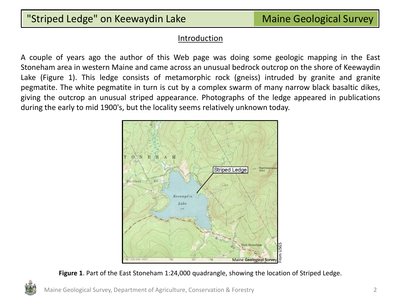#### **Introduction**

A couple of years ago the author of this Web page was doing some geologic mapping in the East Stoneham area in western Maine and came across an unusual bedrock outcrop on the shore of Keewaydin Lake (Figure 1). This ledge consists of metamorphic rock (gneiss) intruded by granite and granite pegmatite. The white pegmatite in turn is cut by a complex swarm of many narrow black basaltic dikes, giving the outcrop an unusual striped appearance. Photographs of the ledge appeared in publications during the early to mid 1900's, but the locality seems relatively unknown today.



**Figure 1**. Part of the East Stoneham 1:24,000 quadrangle, showing the location of Striped Ledge.

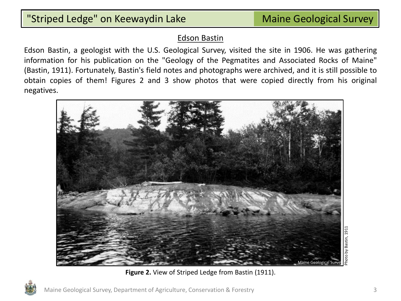#### Edson Bastin

Edson Bastin, a geologist with the U.S. Geological Survey, visited the site in 1906. He was gathering information for his publication on the "Geology of the Pegmatites and Associated Rocks of Maine" (Bastin, 1911). Fortunately, Bastin's field notes and photographs were archived, and it is still possible to obtain copies of them! Figures 2 and 3 show photos that were copied directly from his original negatives.



**Figure 2.** View of Striped Ledge from Bastin (1911).

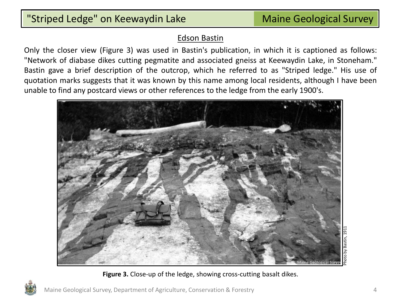#### Edson Bastin

Only the closer view (Figure 3) was used in Bastin's publication, in which it is captioned as follows: "Network of diabase dikes cutting pegmatite and associated gneiss at Keewaydin Lake, in Stoneham." Bastin gave a brief description of the outcrop, which he referred to as "Striped ledge." His use of quotation marks suggests that it was known by this name among local residents, although I have been unable to find any postcard views or other references to the ledge from the early 1900's.



**Figure 3.** Close-up of the ledge, showing cross-cutting basalt dikes.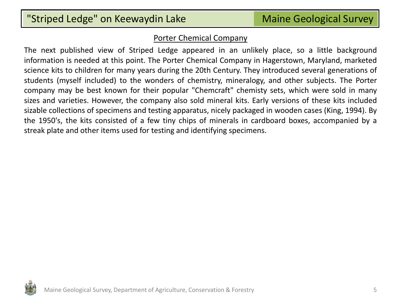#### Porter Chemical Company

The next published view of Striped Ledge appeared in an unlikely place, so a little background information is needed at this point. The Porter Chemical Company in Hagerstown, Maryland, marketed science kits to children for many years during the 20th Century. They introduced several generations of students (myself included) to the wonders of chemistry, mineralogy, and other subjects. The Porter company may be best known for their popular "Chemcraft" chemisty sets, which were sold in many sizes and varieties. However, the company also sold mineral kits. Early versions of these kits included sizable collections of specimens and testing apparatus, nicely packaged in wooden cases (King, 1994). By the 1950's, the kits consisted of a few tiny chips of minerals in cardboard boxes, accompanied by a streak plate and other items used for testing and identifying specimens.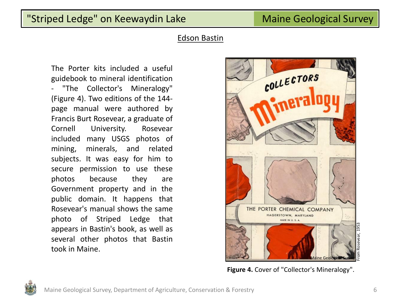#### Edson Bastin

The Porter kits included a useful guidebook to mineral identification "The Collector's Mineralogy" (Figure 4). Two editions of the 144 page manual were authored by Francis Burt Rosevear, a graduate of Cornell University. Rosevear included many USGS photos of mining, minerals, and related subjects. It was easy for him to secure permission to use these photos because they are Government property and in the public domain. It happens that Rosevear's manual shows the same photo of Striped Ledge that appears in Bastin's book, as well as several other photos that Bastin took in Maine.



**Figure 4.** Cover of "Collector's Mineralogy".

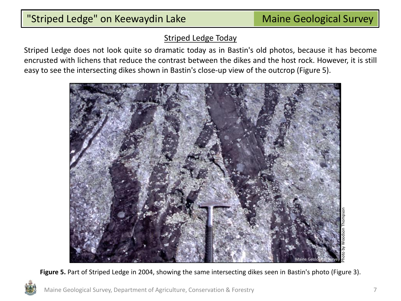#### Striped Ledge Today

Striped Ledge does not look quite so dramatic today as in Bastin's old photos, because it has become encrusted with lichens that reduce the contrast between the dikes and the host rock. However, it is still easy to see the intersecting dikes shown in Bastin's close-up view of the outcrop (Figure 5).



**Figure 5.** Part of Striped Ledge in 2004, showing the same intersecting dikes seen in Bastin's photo (Figure 3).

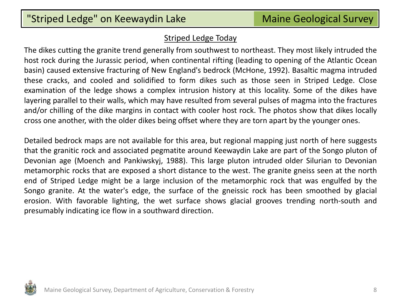#### Striped Ledge Today

The dikes cutting the granite trend generally from southwest to northeast. They most likely intruded the host rock during the Jurassic period, when continental rifting (leading to opening of the Atlantic Ocean basin) caused extensive fracturing of New England's bedrock (McHone, 1992). Basaltic magma intruded these cracks, and cooled and solidified to form dikes such as those seen in Striped Ledge. Close examination of the ledge shows a complex intrusion history at this locality. Some of the dikes have layering parallel to their walls, which may have resulted from several pulses of magma into the fractures and/or chilling of the dike margins in contact with cooler host rock. The photos show that dikes locally cross one another, with the older dikes being offset where they are torn apart by the younger ones.

Detailed bedrock maps are not available for this area, but regional mapping just north of here suggests that the granitic rock and associated pegmatite around Keewaydin Lake are part of the Songo pluton of Devonian age (Moench and Pankiwskyj, 1988). This large pluton intruded older Silurian to Devonian metamorphic rocks that are exposed a short distance to the west. The granite gneiss seen at the north end of Striped Ledge might be a large inclusion of the metamorphic rock that was engulfed by the Songo granite. At the water's edge, the surface of the gneissic rock has been smoothed by glacial erosion. With favorable lighting, the wet surface shows glacial grooves trending north-south and presumably indicating ice flow in a southward direction.

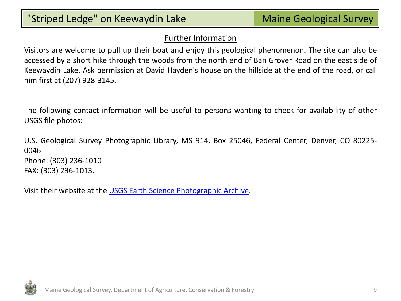### Further Information

Visitors are welcome to pull up their boat and enjoy this geological phenomenon. The site can also be accessed by a short hike through the woods from the north end of Ban Grover Road on the east side of Keewaydin Lake. Ask permission at David Hayden's house on the hillside at the end of the road, or call him first at (207) 928-3145.

The following contact information will be useful to persons wanting to check for availability of other USGS file photos:

U.S. Geological Survey Photographic Library, MS 914, Box 25046, Federal Center, Denver, CO 80225- 0046 Phone: (303) 236-1010 FAX: (303) 236-1013.

Visit their website at the [USGS](http://libraryphoto.cr.usgs.gov/) [Earth](http://libraryphoto.cr.usgs.gov/) [Science](http://libraryphoto.cr.usgs.gov/) [Photographic](http://libraryphoto.cr.usgs.gov/) [Archive.](http://libraryphoto.cr.usgs.gov/)